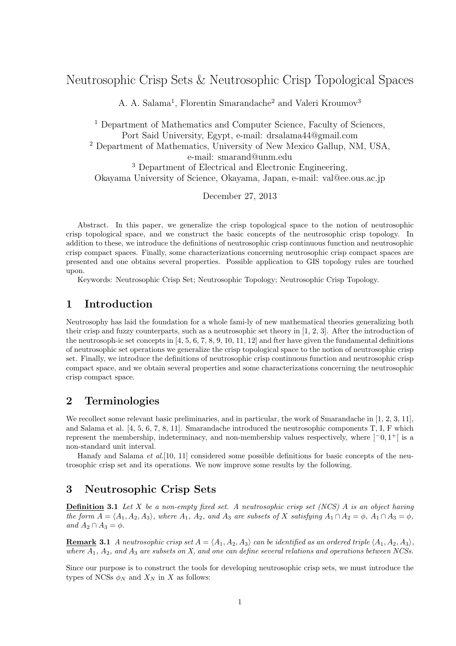# Neutrosophic Crisp Sets & Neutrosophic Crisp Topological Spaces

A. A. Salama<sup>1</sup>, Florentin Smarandache<sup>2</sup> and Valeri Kroumov<sup>3</sup>

<sup>1</sup> Department of Mathematics and Computer Science, Faculty of Sciences, Port Said University, Egypt, e-mail: drsalama44@gmail.com <sup>2</sup> Department of Mathematics, University of New Mexico Gallup, NM, USA, e-mail: smarand@unm.edu <sup>3</sup> Department of Electrical and Electronic Engineering, Okayama University of Science, Okayama, Japan, e-mail: val@ee.ous.ac.jp

December 27, 2013

Abstract. In this paper, we generalize the crisp topological space to the notion of neutrosophic crisp topological space, and we construct the basic concepts of the neutrosophic crisp topology. In addition to these, we introduce the definitions of neutrosophic crisp continuous function and neutrosophic crisp compact spaces. Finally, some characterizations concerning neutrosophic crisp compact spaces are presented and one obtains several properties. Possible application to GIS topology rules are touched upon.

Keywords: Neutrosophic Crisp Set; Neutrosophic Topology; Neutrosophic Crisp Topology.

#### **1 Introduction**

Neutrosophy has laid the foundation for a whole fami-ly of new mathematical theories generalizing both their crisp and fuzzy counterparts, such as a neutrosophic set theory in [1, 2, 3]. After the introduction of the neutrosoph-ic set concepts in  $[4, 5, 6, 7, 8, 9, 10, 11, 12]$  and fter have given the fundamental definitions of neutrosophic set operations we generalize the crisp topological space to the notion of neutrosophic crisp set. Finally, we introduce the definitions of neutrosophic crisp continuous function and neutrosophic crisp compact space, and we obtain several properties and some characterizations concerning the neutrosophic crisp compact space.

# **2 Terminologies**

We recollect some relevant basic preliminaries, and in particular, the work of Smarandache in [1, 2, 3, 11], and Salama et al. [4, 5, 6, 7, 8, 11]. Smarandache introduced the neutrosophic components T, I, F which represent the membership, indeterminacy, and non-membership values respectively, where ]*−*0*,* 1 <sup>+</sup>[ is a non-standard unit interval.

Hanafy and Salama *et al.*[10, 11] considered some possible definitions for basic concepts of the neutrosophic crisp set and its operations. We now improve some results by the following.

#### **3 Neutrosophic Crisp Sets**

**Definition 3.1** *Let X be a non-empty fixed set. A neutrosophic crisp set (NCS) A is an object having* the form  $A = \langle A_1, A_2, A_3 \rangle$ , where  $A_1$ ,  $A_2$ , and  $A_3$  are subsets of X satisfying  $A_1 \cap A_2 = \emptyset$ ,  $A_1 \cap A_3 = \emptyset$ ,  $and A_2 \cap A_3 = \phi.$ 

**Remark 3.1** *A neutrosophic crisp set*  $A = \langle A_1, A_2, A_3 \rangle$  *can be identified as an ordered triple*  $\langle A_1, A_2, A_3 \rangle$ *, where A*1*, A*2*, and A*<sup>3</sup> *are subsets on X, and one can define several relations and operations between NCSs.*

Since our purpose is to construct the tools for developing neutrosophic crisp sets, we must introduce the types of NCSs  $\phi_N$  and  $X_N$  in *X* as follows: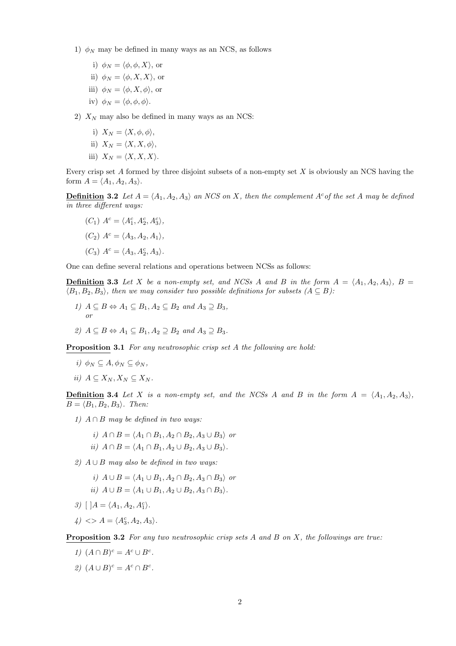- 1)  $\phi_N$  may be defined in many ways as an NCS, as follows
	- i)  $\phi_N = \langle \phi, \phi, X \rangle$ , or
	- ii)  $\phi_N = \langle \phi, X, X \rangle$ , or
	- iii)  $\phi_N = \langle \phi, X, \phi \rangle$ , or
	- iv)  $\phi_N = \langle \phi, \phi, \phi \rangle$ .
- 2)  $X_N$  may also be defined in many ways as an NCS:
	- i)  $X_N = \langle X, \phi, \phi \rangle$ ,
	- ii)  $X_N = \langle X, X, \phi \rangle$ ,
	- iii)  $X_N = \langle X, X, X \rangle$ .

Every crisp set *A* formed by three disjoint subsets of a non-empty set *X* is obviously an NCS having the form  $A = \langle A_1, A_2, A_3 \rangle$ .

**Definition** 3.2 Let  $A = \langle A_1, A_2, A_3 \rangle$  an NCS on X, then the complement  $A^c$  of the set A may be defined *in three different ways:*

 $(C_1)$   $A^c = \langle A_1^c, A_2^c, A_3^c \rangle$ ,  $(C_2)$   $A^c = \langle A_3, A_2, A_1 \rangle$  $(C_3)$   $A^c = \langle A_3, A_2^c, A_3 \rangle.$ 

One can define several relations and operations between NCSs as follows:

**Definition** 3.3 Let X be a non-empty set, and NCSs A and B in the form  $A = \langle A_1, A_2, A_3 \rangle$ ,  $B =$  $\langle B_1, B_2, B_3 \rangle$ , then we may consider two possible definitions for subsets  $(A \subseteq B)$ :

- *1)*  $A ⊆ B \Leftrightarrow A_1 ⊆ B_1, A_2 ⊆ B_2$  *and*  $A_3 ⊇ B_3$ *, or*
- *2*)  $A ⊂ B \Leftrightarrow A_1 ⊂ B_1, A_2 ⊇ B_2$  *and*  $A_3 ⊇ B_3$ .

**Proposition 3.1** *For any neutrosophic crisp set A the following are hold:*

- $i)$   $\phi_N \subseteq A, \phi_N \subseteq \phi_N$
- $ii)$   $A \subseteq X_N, X_N \subseteq X_N$ .

**Definition** 3.4 Let *X is a non-empty set, and the NCSs A and B in the form*  $A = \langle A_1, A_2, A_3 \rangle$  $B = \langle B_1, B_2, B_3 \rangle$ *. Then:* 

- *1) A ∩ B may be defined in two ways:*
	- *i*)  $A ∩ B = \langle A_1 ∩ B_1, A_2 ∩ B_2, A_3 ∪ B_3 \rangle$  *or*
	- $i$ *ii*)  $A \cap B = \langle A_1 \cap B_1, A_2 \cup B_2, A_3 \cup B_3 \rangle$ .
- *2) A ∪ B may also be defined in two ways:*
	- *i*)  $A \cup B = \langle A_1 \cup B_1, A_2 \cap B_2, A_3 \cap B_3 \rangle$  *or*
	- $i$ *ii*)  $A \cup B = \langle A_1 \cup B_1, A_2 \cup B_2, A_3 \cap B_3 \rangle$ .
- $3)$  [ ] $A = \langle A_1, A_2, A_1^c \rangle.$
- $4$ )  $\langle \rangle$  A =  $\langle A_3^c, A_2, A_3 \rangle$ .

**Proposition 3.2** *For any two neutrosophic crisp sets A and B on X, the followings are true:*

- *1*)  $(A ∩ B)^c = A^c ∪ B^c$ .
- *2*)  $(A \cup B)^c = A^c \cap B^c$ .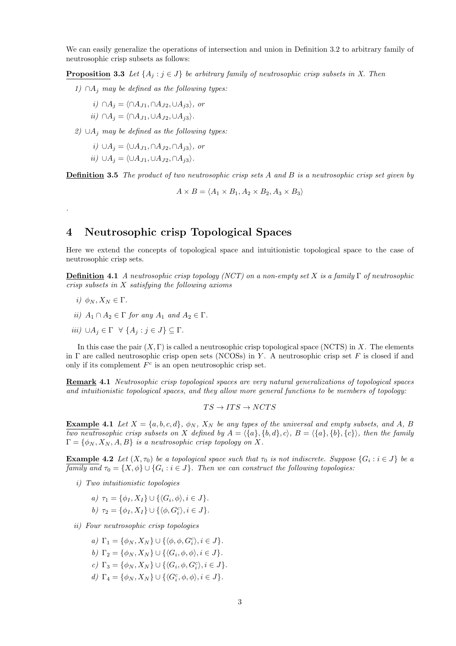We can easily generalize the operations of intersection and union in Definition 3.2 to arbitrary family of neutrosophic crisp subsets as follows:

**Proposition 3.3** *Let*  $\{A_i : j \in J\}$  *be arbitrary family of neutrosophic crisp subsets in X. Then* 

*1) ∩A<sup>j</sup> may be defined as the following types:*

$$
i) \cap A_j = \langle \cap A_{J1}, \cap A_{J2}, \cup A_{j3} \rangle, \text{ or }
$$

$$
ii) \cap A_j = \langle \cap A_{J1}, \cup A_{J2}, \cup A_{j3} \rangle.
$$

*2) ∪A<sup>j</sup> may be defined as the following types:*

- *i) ∪A<sup>j</sup>* = *⟨∪AJ*1*, ∩AJ*2*, ∩Aj*3*⟩, or*
- *ii*)  $\cup A_i = \langle \cup A_{I1}, \cup A_{I2}, \cap A_{i3} \rangle$ *.*

**Definition 3.5** *The product of two neutrosophic crisp sets A and B is a neutrosophic crisp set given by*

$$
A \times B = \langle A_1 \times B_1, A_2 \times B_2, A_3 \times B_3 \rangle
$$

# **4 Neutrosophic crisp Topological Spaces**

Here we extend the concepts of topological space and intuitionistic topological space to the case of neutrosophic crisp sets.

**Definition 4.1** *A neutrosophic crisp topology (NCT) on a non-empty set X is a family* Γ *of neutrosophic crisp subsets in X satisfying the following axioms*

 $i) \phi_N, X_N \in \Gamma$ .

*.*

- *ii*)  $A_1 \cap A_2 \in \Gamma$  *for any*  $A_1$  *and*  $A_2 \in \Gamma$ *.*
- *iii*)  $\cup A_j$  ∈ Γ  $\forall$  { $A_j$  :  $j \in J$ } ⊆ Γ.

In this case the pair (*X,* Γ) is called a neutrosophic crisp topological space (NCTS) in *X*. The elements in Γ are called neutrosophic crisp open sets (NCOSs) in *Y* . A neutrosophic crisp set *F* is closed if and only if its complement  $F^c$  is an open neutrosophic crisp set.

**Remark 4.1** *Neutrosophic crisp topological spaces are very natural generalizations of topological spaces and intuitionistic topological spaces, and they allow more general functions to be members of topology:*

$$
TS\rightarrow ITS\rightarrow NCTS
$$

**Example 4.1** *Let*  $X = \{a, b, c, d\}$ *,*  $\phi_N$ *,*  $X_N$  *be any types of the universal and empty subsets, and A, B* two neutrosophic crisp subsets on X defined by  $A = \{\{a\}, \{b, d\}, c\}$ ,  $B = \{\{a\}, \{b\}, \{c\}\}\$ , then the family  $\Gamma = {\phi_N, X_N, A, B}$  *is a neutrosophic crisp topology on* X.

**Example 4.2** Let  $(X, \tau_0)$  be a topological space such that  $\tau_0$  is not indiscrete. Suppose  $\{G_i : i \in J\}$  be a *family and*  $\tau_0 = \{X, \phi\} \cup \{G_i : i \in J\}$ . Then we can construct the following topologies:

*i) Two intuitionistic topologies*

$$
a) \ \tau_1 = \{\phi_I, X_I\} \cup \{\langle G_i, \phi \rangle, i \in J\}.
$$

*b*)  $\tau_2 = {\phi_I, X_I} \cup {\phi, G_i^c}, i \in J}.$ 

*ii) Four neutrosophic crisp topologies*

- *a*)  $\Gamma_1 = \{ \phi_N, X_N \} \cup \{ \langle \phi, \phi, G_i^c \rangle, i \in J \}.$
- *b*)  $\Gamma_2 = \{\phi_N, X_N\} \cup \{\langle G_i, \phi, \phi \rangle, i \in J\}.$
- *c*)  $\Gamma_3 = \{ \phi_N, X_N \} \cup \{ \langle G_i, \phi, G_i^c \rangle, i \in J \}.$
- *d*)  $\Gamma_4 = \{\phi_N, X_N\} \cup \{\langle G_i^c, \phi, \phi \rangle, i \in J\}.$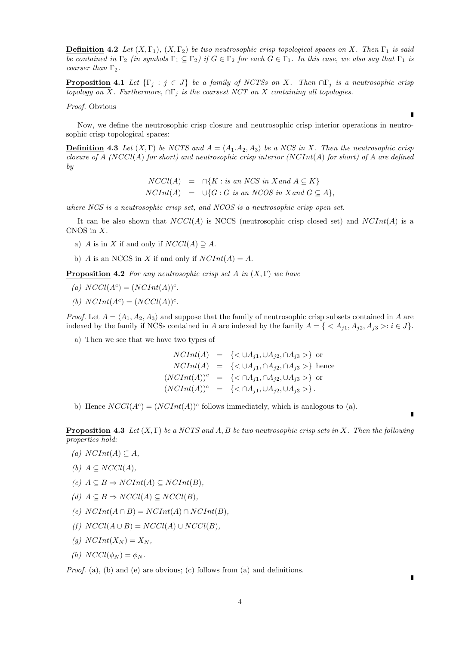**Definition 4.2** *Let*  $(X, \Gamma_1)$ *,*  $(X, \Gamma_2)$  *be two neutrosophic crisp topological spaces on X. Then*  $\Gamma_1$  *is said be contained in*  $\Gamma_2$  *(in symbols*  $\Gamma_1 \subseteq \Gamma_2$ *) if*  $G \in \Gamma_2$  *for each*  $G \in \Gamma_1$ *. In this case, we also say that*  $\Gamma_1$  *is coarser than* Γ2*.*

**Proposition 4.1** *Let*  $\{\Gamma_j : j \in J\}$  *be a family of NCTSs on X. Then*  $\cap \Gamma_j$  *is a neutrosophic crisp topology on*  $\overline{X}$ *. Furthermore,*  $\cap \Gamma_j$  *is the coarsest NCT on*  $X$  *containing all topologies.* 

*Proof.* Obvious

Now, we define the neutrosophic crisp closure and neutrosophic crisp interior operations in neutrosophic crisp topological spaces:

**Definition 4.3** *Let*  $(X, \Gamma)$  *be NCTS and*  $A = \langle A_1, A_2, A_3 \rangle$  *be a NCS in X. Then the neutrosophic crisp closure of A (NCCl*(*A*) *for short) and neutrosophic crisp interior (NCInt*(*A*) *for short) of A are defined by*

$$
NCCl(A) = \bigcap \{ K : is an NCS in X and A \subseteq K \}
$$
  
 
$$
NClnt(A) = \bigcup \{ G : G \text{ is an NCOS in X and } G \subseteq A \},
$$

*where NCS is a neutrosophic crisp set, and NCOS is a neutrosophic crisp open set.*

It can be also shown that *NCCl*(*A*) is NCCS (neutrosophic crisp closed set) and *NCInt*(*A*) is a CNOS in *X*.

- a) *A* is in *X* if and only if  $NCCl(A) \supseteq A$ .
- b) *A* is an NCCS in *X* if and only if  $NClnt(A) = A$ .

**Proposition 4.2** *For any neutrosophic crisp set A in* (*X,* Γ) *we have*

- (a)  $NCCl(A^c) = (NCInt(A))^c$ .
- *(b)*  $NClnt(A^c) = (NCCl(A))^c$ .

*Proof.* Let  $A = \langle A_1, A_2, A_3 \rangle$  and suppose that the family of neutrosophic crisp subsets contained in *A* are indexed by the family if NCSs contained in *A* are indexed by the family  $A = \{ \langle A_{j1}, A_{j2}, A_{j3} \rangle : i \in J \}.$ 

a) Then we see that we have two types of

*NCInt*(*A*) = {*<*  $\cup A_{i1}$ ,  $\cup A_{i2}$ ,  $\cap A_{i3}$  >} or *NCInt*(*A*) = {*< ∪A*<sub>*j*1</sub></sub>, ∩*A*<sub>*j*2</sub>, ∩*A*<sub>*j*3</sub> >} hence  $(NCInt(A))^c$  = {< ∩*A*<sub>j1</sub>, ∩*A*<sub>j2</sub>, ∪*A*<sub>j3</sub> >} or  $(NCInt(A))^c = \{ \langle \cap A_{i1}, \cup A_{i2}, \cup A_{i3} \rangle \}.$ 

b) Hence  $NCCl(A^c) = (NCInt(A))^c$  follows immediately, which is analogous to (a).

**Proposition 4.3** *Let* (*X,* Γ) *be a NCTS and A, B be two neutrosophic crisp sets in X. Then the following properties hold:*

- $(A)$  *NCInt*(*A*) ⊆ *A,*
- *(b)*  $A ⊂ NCCl(A)$ ,
- $(c)$  *A* ⊆ *B*  $\Rightarrow$  *NCInt*(*A*) ⊆ *NCInt*(*B*)*,*
- *(d)*  $A \subseteq B$   $\Rightarrow NCCl(A) \subseteq NCCl(B)$ ,
- $(e)$   $NClnt(A \cap B) = NClnt(A) \cap NClnt(B)$ ,
- $(f) \ NCCl(A \cup B) = NCCl(A) \cup NCCl(B)$ ,
- $(q)$   $NClnt(X_N) = X_N$
- $(h) \text{NCCl}(\phi_N) = \phi_N$ .

*Proof.* (a), (b) and (e) are obvious; (c) follows from (a) and definitions.

r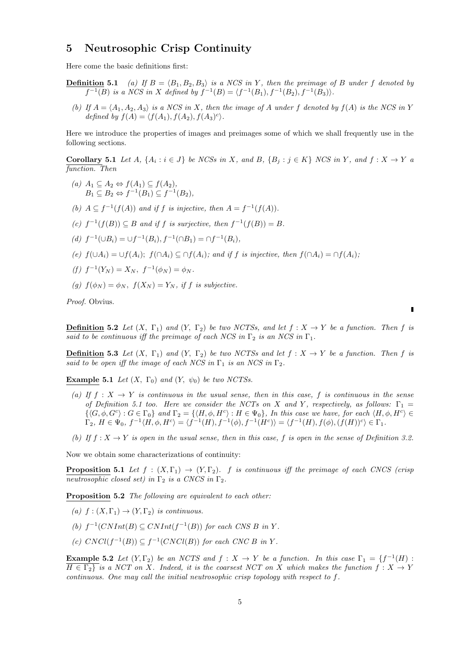#### **5 Neutrosophic Crisp Continuity**

Here come the basic definitions first:

**Definition 5.1** *(a)* If  $B = \langle B_1, B_2, B_3 \rangle$  *is a NCS in Y, then the preimage of B under f denoted by*  $f^{-1}(B)$  is a NCS in X defined by  $f^{-1}(B) = \langle f^{-1}(B_1), f^{-1}(B_2), f^{-1}(B_3) \rangle$ .

*(b)* If  $A = \langle A_1, A_2, A_3 \rangle$  *is a NCS in X, then the image of A under f denoted by*  $f(A)$  *is the NCS in Y defined by*  $f(A) = \langle f(A_1), f(A_2), f(A_3)^c \rangle$ .

Here we introduce the properties of images and preimages some of which we shall frequently use in the following sections.

**Corollary 5.1** Let A,  $\{A_i : i \in J\}$  be NCSs in X, and B,  $\{B_j : j \in K\}$  NCS in Y, and  $f : X \to Y$  a *function. Then*

- $(A)$  *A*<sub>1</sub> ⊆ *A*<sub>2</sub>  $\Leftrightarrow$   $f(A_1) \subseteq f(A_2)$ , *B*<sub>1</sub> ⊆ *B*<sub>2</sub>  $\Leftrightarrow f^{-1}(B_1) \subseteq f^{-1}(B_2)$ *,*
- (b)  $A \subseteq f^{-1}(f(A))$  and if *f* is injective, then  $A = f^{-1}(f(A))$ .
- (*c*)  $f^{-1}(f(B)) \subseteq B$  *and if f is surjective, then*  $f^{-1}(f(B)) = B$ *.*
- $(d)$   $f^{-1}(\cup B_i) = \cup f^{-1}(B_i), f^{-1}(\cap B_1) = \cap f^{-1}(B_i),$
- (e)  $f(\cup A_i) = \cup f(A_i)$ ;  $f(\cap A_i) \subseteq \cap f(A_i)$ ; and if f is injective, then  $f(\cap A_i) = \cap f(A_i)$ ;

$$
(f) f^{-1}(Y_N) = X_N, f^{-1}(\phi_N) = \phi_N.
$$

(g)  $f(\phi_N) = \phi_N$ ,  $f(X_N) = Y_N$ , if *f* is subjective.

*Proof.* Obvius.

**Definition 5.2** *Let*  $(X, \Gamma_1)$  *and*  $(Y, \Gamma_2)$  *be two NCTSs, and let*  $f: X \to Y$  *be a function. Then*  $f$  *is said to be continuous iff the preimage of each NCS in*  $\Gamma_2$  *is an NCS in*  $\Gamma_1$ *.* 

**<u>Definition</u>** 5.3 Let  $(X, \Gamma_1)$  and  $(Y, \Gamma_2)$  be two NCTSs and let  $f: X \to Y$  be a function. Then f is *said to be open iff the image of each NCS in*  $\Gamma_1$  *is an NCS in*  $\Gamma_2$ *.* 

**Example 5.1** *Let*  $(X, \Gamma_0)$  *and*  $(Y, \psi_0)$  *be two NCTSs.* 

- *(a)* If  $f: X \to Y$  is continuous in the usual sense, then in this case, f is continuous in the sense *of Definition 5.1 too. Here we consider the NCTs on X* and *Y*, respectively, as follows:  $\Gamma_1$  =  $\{\langle G, \phi, G^c\rangle : G \in \Gamma_0\}$  and  $\Gamma_2 = \{\langle H, \phi, H^c\rangle : H \in \Psi_0\},\$  In this case we have, for each  $\langle H, \phi, H^c\rangle \in$  $\Gamma_2, H \in \Psi_0, f^{-1} \langle H, \phi, H^c \rangle = \langle f^{-1}(H), f^{-1}(\phi), f^{-1}(H^c) \rangle = \langle f^{-1}(H), f(\phi), (f(H))^c \rangle \in \Gamma_1.$
- *(b)* If  $f: X \to Y$  is open in the usual sense, then in this case, f is open in the sense of Definition 3.2.

Now we obtain some characterizations of continuity:

**Proposition 5.1** *Let*  $f : (X, \Gamma_1) \rightarrow (Y, \Gamma_2)$ *. f is continuous iff the preimage of each CNCS (crisp neutrosophic closed set)* in  $\Gamma_2$  *is a CNCS in*  $\Gamma_2$ .

**Proposition 5.2** *The following are equivalent to each other:*

- $(a)$   $f: (X, \Gamma_1) \rightarrow (Y, \Gamma_2)$  *is continuous.*
- (b)  $f^{-1}(CNInt(B) ⊆ CNInt(f^{-1}(B))$  *for each CNS B in Y*.
- *(c)*  $CNCl(f^{-1}(B)) ⊆ f^{-1}(CNCl(B))$  *for each CNC B in Y*.

**Example 5.2** *Let*  $(Y, \Gamma_2)$  *be an NCTS and*  $f : X \to Y$  *be a function. In this case*  $\Gamma_1 = \{f^{-1}(H) :$  $H \in \Gamma_2$ *is a NCT on X. Indeed, it is the coarsest NCT on X which makes the function*  $f: X \to Y$ *continuous. One may call the initial neutrosophic crisp topology with respect to f.*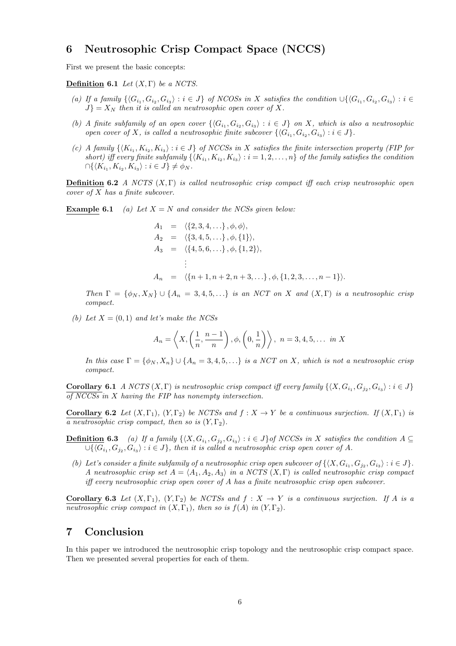# **6 Neutrosophic Crisp Compact Space (NCCS)**

First we present the basic concepts:

**Definition 6.1** *Let* (*X,* Γ) *be a NCTS.*

- (a) If a family  $\{\langle G_{i_1}, G_{i_2}, G_{i_3}\rangle : i \in J\}$  of NCOSs in X satisfies the condition  $\cup \{\langle G_{i_1}, G_{i_2}, G_{i_3}\rangle : i \in I\}$  $J$ <sup>}</sup> =  $X_N$  *then it is called an neutrosophic open cover of*  $X$ *.*
- *(b)* A finite subfamily of an open cover  $\{\langle G_{i_1}, G_{i_2}, G_{i_3}\rangle : i \in J\}$  on X, which is also a neutrosophic *open cover of X*, *is called a neutrosophic finite subcover*  $\{(G_{i_1}, G_{i_2}, G_{i_3}) : i \in J\}$ *.*
- (c) A family  $\{K_{i_1}, K_{i_2}, K_{i_3}\}$ :  $i \in J\}$  of NCCSs in X satisfies the finite intersection property (FIP for *short)* iff every finite subfamily  $\{\langle K_{i_1}, K_{i_2}, K_{i_3}\rangle : i = 1, 2, ..., n\}$  of the family satisfies the condition  $∩\{\langle K_{i_1}, K_{i_2}, K_{i_3}\rangle : i \in J\} \neq \phi_N$ .

**Definition 6.2** *A NCTS* (*X,* Γ) *is called neutrosophic crisp compact iff each crisp neutrosophic open cover of X has a finite subcover.*

**Example 6.1** *(a) Let*  $X = N$  *and consider the NCSs given below:* 

$$
A_1 = \langle \{2, 3, 4, \ldots\}, \phi, \phi \rangle,
$$
  
\n
$$
A_2 = \langle \{3, 4, 5, \ldots\}, \phi, \{1\} \rangle,
$$
  
\n
$$
A_3 = \langle \{4, 5, 6, \ldots\}, \phi, \{1, 2\} \rangle,
$$
  
\n
$$
\vdots
$$
  
\n
$$
A_n = \langle \{n+1, n+2, n+3, \ldots\}, \phi, \{1, 2, 3, \ldots, n-1\} \rangle.
$$

*Then*  $\Gamma = {\phi_N, X_N} \cup {A_n = 3, 4, 5, \ldots}$  *is an NCT on X and*  $(X, \Gamma)$  *is a neutrosophic crisp compact.*

*(b)* Let  $X = (0, 1)$  and let's make the NCSs

$$
A_n = \left\langle X, \left(\frac{1}{n}, \frac{n-1}{n}\right), \phi, \left(0, \frac{1}{n}\right) \right\rangle, \ n = 3, 4, 5, \dots \text{ in } X
$$

*In this case*  $\Gamma = \{\phi_N, X_n\} \cup \{A_n = 3, 4, 5, \ldots\}$  *is a NCT on X, which is not a neutrosophic crisp compact.*

**Corollary 6.1** A NCTS  $(X, \Gamma)$  is neutrosophic crisp compact iff every family  $\{\langle X, G_{i_1}, G_{j_2}, G_{i_3}\rangle : i \in J\}$ *of NCCSs in X having the FIP has nonempty intersection.*

**Corollary 6.2** *Let*  $(X, \Gamma_1)$ *,*  $(Y, \Gamma_2)$  *be NCTSs and*  $f: X \to Y$  *be a continuous surjection.* If  $(X, \Gamma_1)$  *is a neutrosophic crisp compact, then so is*  $(Y, \Gamma_2)$ .

- **Definition 6.3** (a) If a family  $\{\langle X, G_{i_1}, G_{j_2}, G_{i_3}\rangle : i \in J\}$  of NCCSs in X satisfies the condition  $A \subseteq$  $∪\{\langle G_{i_1}, G_{j_2}, G_{i_3}\rangle : i \in J\}$ , then it is called a neutrosophic crisp open cover of  $A$ *.* 
	- *(b)* Let's consider a finite subfamily of a neutrosophic crisp open subcover of  $\{(X, G_{i_1}, G_{j_2}, G_{i_3}) : i \in J\}$ . *A neutrosophic crisp set*  $A = \langle A_1, A_2, A_3 \rangle$  *in a NCTS*  $(X, \Gamma)$  *is called neutrosophic crisp compact iff every neutrosophic crisp open cover of A has a finite neutrosophic crisp open subcover.*

**Corollary 6.3** *Let*  $(X, \Gamma_1)$ *,*  $(Y, \Gamma_2)$  *be NCTSs and*  $f : X \rightarrow Y$  *is a continuous surjection. If A is a neutrosophic crisp compact in*  $(X, \Gamma_1)$ *, then so is*  $f(A)$  *in*  $(Y, \Gamma_2)$ *.* 

#### **7 Conclusion**

In this paper we introduced the neutrosophic crisp topology and the neutrosophic crisp compact space. Then we presented several properties for each of them.